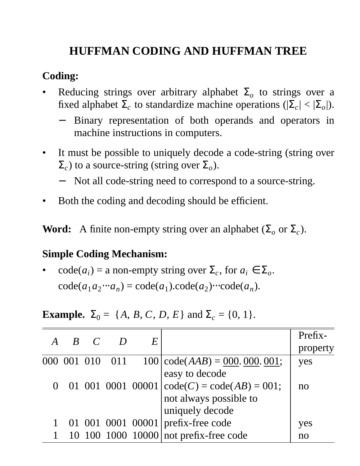# **HUFFMAN CODING AND HUFFMAN TREE**

#### **Coding:**

- Reducing strings over arbitrary alphabet  $\Sigma_o$  to strings over a fixed alphabet  $\Sigma_c$  to standardize machine operations ( $|\Sigma_c| < |\Sigma_o|$ ).
	- Binary representation of both operands and operators in machine instructions in computers.
- It must be possible to uniquely decode a code-string (string over  $\Sigma_c$ ) to a source-string (string over  $\Sigma_o$ ).
	- − Not all code-string need to correspond to a source-string.
- Both the coding and decoding should be efficient.

**Word:** A finite non-empty string over an alphabet  $(\Sigma_o \text{ or } \Sigma_c)$ .

### **Simple Coding Mechanism:**

• code( $a_i$ ) = a non-empty string over  $\Sigma_c$ , for  $a_i \in \Sigma_o$ .  $code(a_1a_2\cdots a_n) = code(a_1).code(a_2)\cdots code(a_n).$ 

**Example.**  $\Sigma_0 = \{A, B, C, D, E\}$  and  $\Sigma_c = \{0, 1\}.$ 

| $\bm{A}$ | $B \quad C$ |                 | E |                                                                | Prefix-        |
|----------|-------------|-----------------|---|----------------------------------------------------------------|----------------|
|          |             |                 |   |                                                                | property       |
|          |             | 000 001 010 011 |   | $100   code(AAB) = 000.000.001;$                               | yes            |
|          |             |                 |   | easy to decode                                                 |                |
|          |             |                 |   | 0 01 001 0001 00001 $\text{code}(C) = \text{code}(AB) = 001$ ; | n <sub>0</sub> |
|          |             |                 |   | not always possible to                                         |                |
|          |             |                 |   | uniquely decode                                                |                |
|          |             |                 |   | 01 001 0001 00001 prefix-free code                             | yes            |
|          |             |                 |   | 10 100 1000 10000 not prefix-free code                         | no             |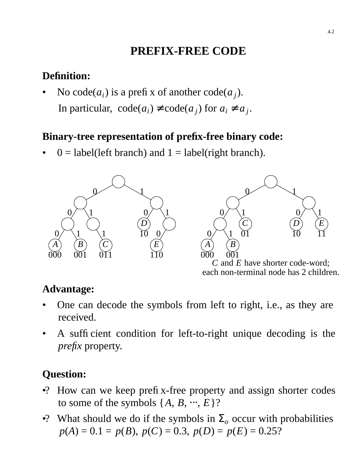# **PREFIX-FREE CODE**

# **Definition:**

• No code( $a_i$ ) is a prefix of another code( $a_j$ ). In particular,  $code(a_i) \neq code(a_j)$  for  $a_i \neq a_j$ .

# **Binary-tree representation of prefix-free binary code:**

 $\theta$  = label(left branch) and 1 = label(right branch).



# **Advantage:**

- One can decode the symbols from left to right, i.e., as they are received.
- A sufficient condition for left-to-right unique decoding is the *prefix* property.

# **Question:**

- •? How can we keep prefix-free property and assign shorter codes to some of the symbols  $\{A, B, \dots, E\}$ ?
- •? What should we do if the symbols in  $\Sigma_o$  occur with probabilities  $p(A) = 0.1 = p(B), p(C) = 0.3, p(D) = p(E) = 0.25$ ?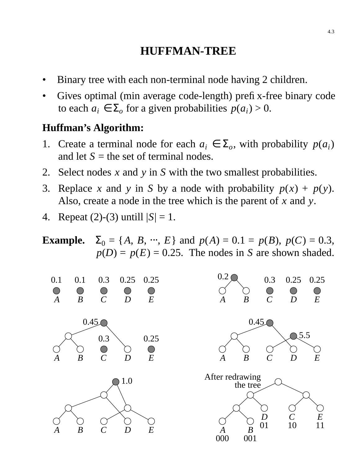## **HUFFMAN-TREE**

- Binary tree with each non-terminal node having 2 children.
- Gives optimal (min average code-length) prefix-free binary code to each  $a_i \in \Sigma_o$  for a given probabilities  $p(a_i) > 0$ .

#### **Huffman's Algorithm:**

- 1. Create a terminal node for each  $a_i \in \Sigma_o$ , with probability  $p(a_i)$ and let  $S =$  the set of terminal nodes.
- 2. Select nodes *x* and *y* in *S* with the two smallest probabilities.
- 3. Replace *x* and *y* in *S* by a node with probability  $p(x) + p(y)$ . Also, create a node in the tree which is the parent of *x* and *y*.
- 4. Repeat  $(2)-(3)$  untill  $|S|=1$ .



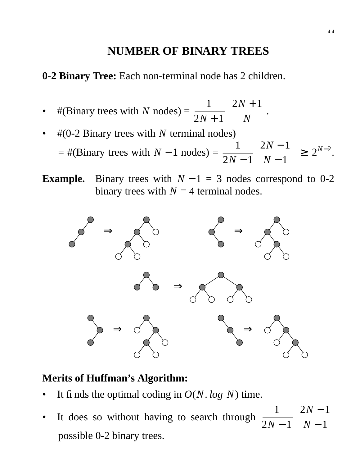# **NUMBER OF BINARY TREES**

**0-2 Binary Tree:** Each non-terminal node has 2 children.

- #(Binary trees with  $N$  nodes) = 1  $2N + 1$  $\sqrt{}$  $\setminus$  $2N + 1$ *N*  $\overline{a}$  $\overline{\phantom{a}}$ |<br>|-
- #(0-2 Binary trees with *N* terminal nodes)  $=$  #(Binary trees with  $N-1$  nodes) = 1  $2N - 1$  $\sqrt{}$  $\setminus$  $2N - 1$ *N* − 1  $\overline{a}$  $\overline{\phantom{a}}$  $\geq 2^{N-2}$ .
- **Example.** Binary trees with  $N 1 = 3$  nodes correspond to 0-2 binary trees with  $N = 4$  terminal nodes.



### **Merits of Huffman's Algorithm:**

- It finds the optimal coding in  $O(N \cdot \log N)$  time.
- It does so without having to search through 1  $2N - 1$  $\big($  $\setminus$  $2N - 1$ *N* − 1  $\overline{\phantom{a}}$  $\bigg)$ possible 0-2 binary trees.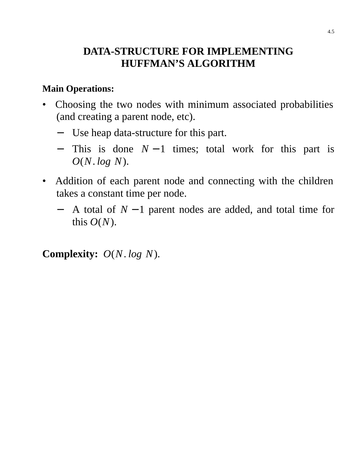## **DATA-STRUCTURE FOR IMPLEMENTING HUFFMAN'S ALGORITHM**

#### **Main Operations:**

- Choosing the two nodes with minimum associated probabilities (and creating a parent node, etc).
	- − Use heap data-structure for this part.
	- − This is done *N* − 1 times; total work for this part is *O*(*N*. *log N*).
- Addition of each parent node and connecting with the children takes a constant time per node.
	- − A total of *N* − 1 parent nodes are added, and total time for this  $O(N)$ .

**Complexity:** *O*(*N*. *log N*).